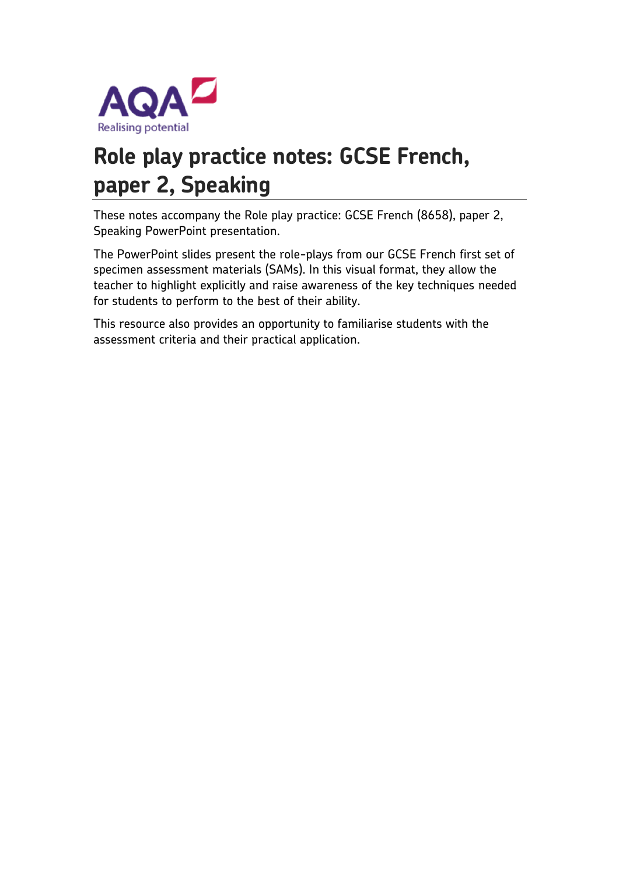

# **Role play practice notes: GCSE French, paper 2, Speaking**

These notes accompany the Role play practice: GCSE French (8658), paper 2, Speaking PowerPoint presentation.

The PowerPoint slides present the role-plays from our GCSE French first set of specimen assessment materials (SAMs). In this visual format, they allow the teacher to highlight explicitly and raise awareness of the key techniques needed for students to perform to the best of their ability.

This resource also provides an opportunity to familiarise students with the assessment criteria and their practical application.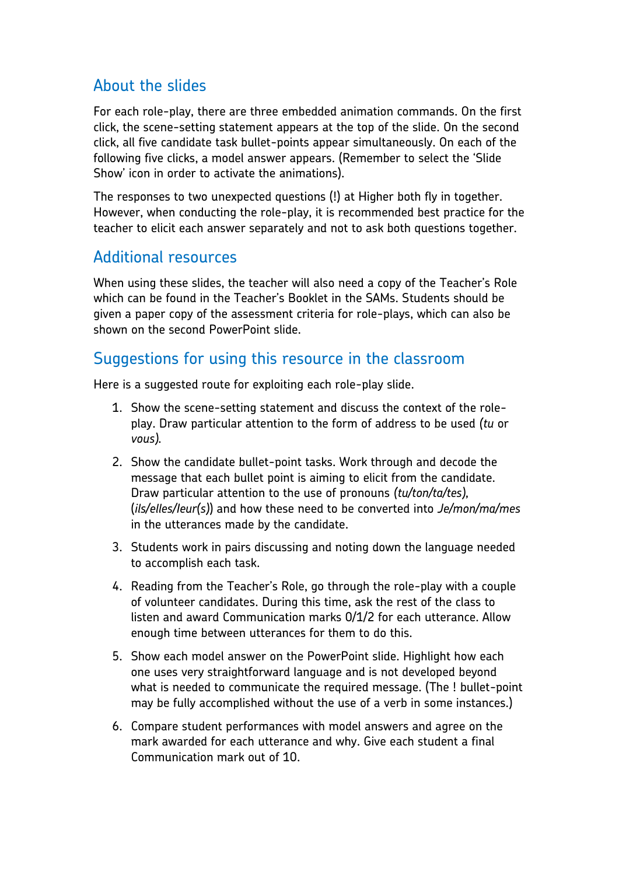## About the slides

For each role-play, there are three embedded animation commands. On the first click, the scene-setting statement appears at the top of the slide. On the second click, all five candidate task bullet-points appear simultaneously. On each of the following five clicks, a model answer appears. (Remember to select the 'Slide Show' icon in order to activate the animations).

The responses to two unexpected questions (!) at Higher both fly in together. However, when conducting the role-play, it is recommended best practice for the teacher to elicit each answer separately and not to ask both questions together.

### Additional resources

When using these slides, the teacher will also need a copy of the Teacher's Role which can be found in the Teacher's Booklet in the SAMs. Students should be given a paper copy of the assessment criteria for role-plays, which can also be shown on the second PowerPoint slide.

### Suggestions for using this resource in the classroom

Here is a suggested route for exploiting each role-play slide.

- 1. Show the scene-setting statement and discuss the context of the roleplay. Draw particular attention to the form of address to be used *(tu* or *vous).*
- 2. Show the candidate bullet-point tasks. Work through and decode the message that each bullet point is aiming to elicit from the candidate. Draw particular attention to the use of pronouns *(tu/ton/ta/tes),*  (*ils/elles/Ieur(s)*) and how these need to be converted into *Je/mon/ma/mes*  in the utterances made by the candidate.
- 3. Students work in pairs discussing and noting down the language needed to accomplish each task.
- 4. Reading from the Teacher's Role, go through the role-play with a couple of volunteer candidates. During this time, ask the rest of the class to listen and award Communication marks 0/1/2 for each utterance. Allow enough time between utterances for them to do this.
- 5. Show each model answer on the PowerPoint slide. Highlight how each one uses very straightforward language and is not developed beyond what is needed to communicate the required message. (The ! bullet-point may be fully accomplished without the use of a verb in some instances.)
- 6. Compare student performances with model answers and agree on the mark awarded for each utterance and why. Give each student a final Communication mark out of 10.